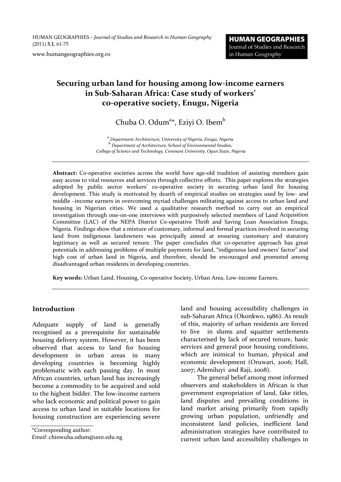HUMAN GEOGRAPHIES *– Journal of Studies and Research in Human Geography* (2011) **5.1**, 61‐75

www.humangeographies.org.ro

# **Securing urban land for housing among low‐income earners in Sub‐Saharan Africa: Case study of workers' co‐operative society, Enugu, Nigeria**

Chuba O. Odum<sup>a\*</sup>, Eziyi O. Ibem<sup>b</sup>

<sup>a</sup> Department Architecture, University of Nigeria, Enugu, Nigeria<br><sup>b</sup> Department of Architecture, School of Environmental Studies, *College of Science and Technology, Covenant University, Ogun State, Nigeria*

Abstract: Co-operative societies across the world have age-old tradition of assisting members gain easy access to vital resources and services through collective efforts. This paper explores the strategies adopted by public sector workers' co-operative society in securing urban land for housing development. This study is motivated by dearth of empirical studies on strategies used by low- and middle –income earners in overcoming myriad challenges militating against access to urban land and housing in Nigerian cities. We used a qualitative research method to carry out an empirical investigation through one‐on‐one interviews with purposively selected members of Land Acquisition Committee (LAC) of the NEPA District Co-operative Thrift and Saving Loan Association Enugu, Nigeria. Findings show that a mixture of customary, informal and formal practices involved in securing land from indigenous landowners was principally aimed at ensuring customary and statutory legitimacy as well as secured tenure. The paper concludes that co‐operative approach has great potentials in addressing problems of multiple payments for land, "indigenous land owners' factor" and high cost of urban land in Nigeria, and therefore, should be encouraged and promoted among disadvantaged urban residents in developing countries.

**Key words:** Urban Land, Housing, Co‐operative Society, Urban Area, Low‐income Earners.

#### **Introduction**

Adequate supply of land is generally recognised as a prerequisite for sustainable housing delivery system. However, it has been observed that access to land for housing development in urban areas in many developing countries is becoming highly problematic with each passing day. In most African countries, urban land has increasingly become a commodity to be acquired and sold to the highest bidder. The low‐income earners who lack economic and political power to gain access to urban land in suitable locations for housing construction are experiencing severe

\*Corresponding author:

*Email*: chinwuba.odum@unn.edu.ng

land and housing accessibility challenges in sub‐Saharan Africa (Okonkwo, 1986). As result of this, majority of urban residents are forced to live in slums and squatter settlements characterised by lack of secured tenure, basic services and general poor housing conditions, which are inimical to human, physical and economic development (Oruwari, 2006; Hall, 2007; Ademiluyi and Raji, 2008).

The general belief among most informed observers and stakeholders in African is that government expropriation of land, fake titles, land disputes and prevailing conditions in land market arising primarily from rapidly growing urban population, unfriendly and inconsistent land policies, inefficient land administration strategies have contributed to current urban land accessibility challenges in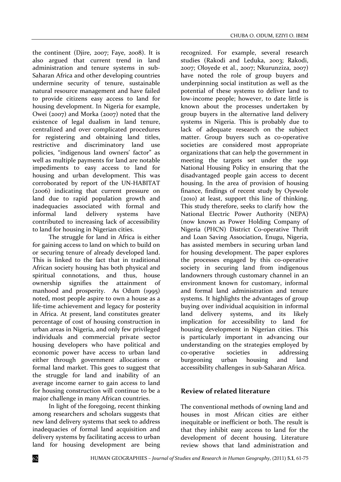the continent (Djire, 2007; Faye, 2008). It is also argued that current trend in land administration and tenure systems in sub‐ Saharan Africa and other developing countries undermine security of tenure, sustainable natural resource management and have failed to provide citizens easy access to land for housing development. In Nigeria for example, Owei (2007) and Morka (2007) noted that the existence of legal dualism in land tenure, centralized and over complicated procedures for registering and obtaining land titles, restrictive and discriminatory land use policies, "indigenous land owners' factor" as well as multiple payments for land are notable impediments to easy access to land for housing and urban development. This was corroborated by report of the UN‐HABITAT (2006) indicating that current pressure on land due to rapid population growth and inadequacies associated with formal and informal land delivery systems have contributed to increasing lack of accessibility to land for housing in Nigerian cities.

The struggle for land in Africa is either for gaining access to land on which to build on or securing tenure of already developed land. This is linked to the fact that in traditional African society housing has both physical and spiritual connotations, and thus, house ownership signifies the attainment of manhood and prosperity. As Odum (1995) noted, most people aspire to own a house as a life-time achievement and legacy for posterity in Africa. At present, land constitutes greater percentage of cost of housing construction in urban areas in Nigeria, and only few privileged individuals and commercial private sector housing developers who have political and economic power have access to urban land either through government allocations or formal land market. This goes to suggest that the struggle for land and inability of an average income earner to gain access to land for housing construction will continue to be a major challenge in many African countries.

In light of the foregoing, recent thinking among researchers and scholars suggests that new land delivery systems that seek to address inadequacies of formal land acquisition and delivery systems by facilitating access to urban land for housing development are being

recognized. For example, several research studies (Rakodi and Leduka, 2003; Rakodi, 2007; Oloyede et al., 2007; Nkurunziza, 2007) have noted the role of group buyers and underpinning social institution as well as the potential of these systems to deliver land to low‐income people; however, to date little is known about the processes undertaken by group buyers in the alternative land delivery systems in Nigeria. This is probably due to lack of adequate research on the subject matter. Group buyers such as co-operative societies are considered most appropriate organizations that can help the government in meeting the targets set under the 1991 National Housing Policy in ensuring that the disadvantaged people gain access to decent housing. In the area of provision of housing finance, findings of recent study by Oyewole (2010) at least, support this line of thinking. This study therefore, seeks to clarify how the National Electric Power Authority (NEPA) (now known as Power Holding Company of Nigeria (PHCN) District Co‐operative Thrift and Loan Saving Association, Enugu, Nigeria, has assisted members in securing urban land for housing development. The paper explores the processes engaged by this co-operative society in securing land from indigenous landowners through customary channel in an environment known for customary, informal and formal land administration and tenure systems. It highlights the advantages of group buying over individual acquisition in informal land delivery systems, and its likely implication for accessibility to land for housing development in Nigerian cities. This is particularly important in advancing our understanding on the strategies employed by co‐operative societies in addressing burgeoning urban housing and land accessibility challenges in sub‐Saharan Africa.

#### **Review of related literature**

The conventional methods of owning land and houses in most African cities are either inequitable or inefficient or both. The result is that they inhibit easy access to land for the development of decent housing. Literature review shows that land administration and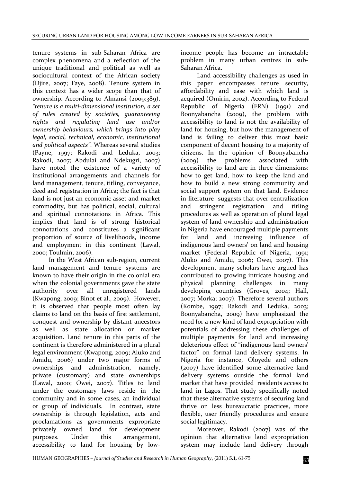tenure systems in sub‐Saharan Africa are complex phenomena and a reflection of the unique traditional and political as well as sociocultural context of the African society (Djire, 2007; Faye, 2008). Tenure system in this context has a wider scope than that of ownership. According to Almansi (2009:389), *"tenure is a multi‐dimensional institution, a set of rules created by societies, guaranteeing rights and regulating land use and/or ownership behaviours, which brings into play legal, social, technical, economic, institutional and political aspects"*. Whereas several studies (Payne, 1997; Rakodi and Leduka, 2003; Rakodi, 2007; Abdulai and Ndekugri, 2007) have noted the existence of a variety of institutional arrangements and channels for land management, tenure, titling, conveyance, deed and registration in Africa; the fact is that land is not just an economic asset and market commodity, but has political, social, cultural and spiritual connotations in Africa. This implies that land is of strong historical connotations and constitutes a significant proportion of source of livelihoods, income and employment in this continent (Lawal, 2000; Toulmin, 2006).

In the West African sub‐region, current land management and tenure systems are known to have their origin in the colonial era when the colonial governments gave the state authority over all unregistered lands (Kwapong, 2009; Binot et al., 2009). However, it is observed that people most often lay claims to land on the basis of first settlement, conquest and ownership by distant ancestors as well as state allocation or market acquisition. Land tenure in this parts of the continent is therefore administered in a plural legal environment (Kwapong, 2009; Aluko and Amidu, 2006) under two major forms of ownerships and administration, namely, private (customary) and state ownerships (Lawal, 2000; Owei, 2007). Titles to land under the customary laws reside in the community and in some cases, an individual or group of individuals. In contrast, state ownership is through legislation, acts and proclamations as governments expropriate privately owned land for development purposes. Under this arrangement, accessibility to land for housing by low‐

income people has become an intractable problem in many urban centres in sub‐ Saharan Africa.

Land accessibility challenges as used in this paper encompasses tenure security, affordability and ease with which land is acquired (Omirin, 2002). According to Federal Republic of Nigeria (FRN) (1991) and Boonyabancha (2009), the problem with accessibility to land is not the availability of land for housing, but how the management of land is failing to deliver this most basic component of decent housing to a majority of citizens. In the opinion of Boonyabancha (2009) the problems associated with accessibility to land are in three dimensions: how to get land, how to keep the land and how to build a new strong community and social support system on that land. Evidence in literature suggests that over centralization and stringent registration and titling procedures as well as operation of plural legal system of land ownership and administration in Nigeria have encouraged multiple payments for land and increasing influence of indigenous land owners' on land and housing market (Federal Republic of Nigeria, 1991; Aluko and Amidu, 2006; Owei, 2007). This development many scholars have argued has contributed to growing intricate housing and physical planning challenges in many developing countries (Groves, 2004; Hall, 2007; Morka; 2007). Therefore several authors (Kombe, 1997; Rakodi and Leduka, 2003; Boonyabancha, 2009) have emphasized the need for a new kind of land expropriation with potentials of addressing these challenges of multiple payments for land and increasing deleterious effect of "indigenous land owners' factor" on formal land delivery systems. In Nigeria for instance, Oloyede and others (2007) have identified some alternative land delivery systems outside the formal land market that have provided residents access to land in Lagos. That study specifically noted that these alternative systems of securing land thrive on less bureaucratic practices, more flexible, user friendly procedures and ensure social legitimacy.

Moreover, Rakodi (2007) was of the opinion that alternative land expropriation system may include land delivery through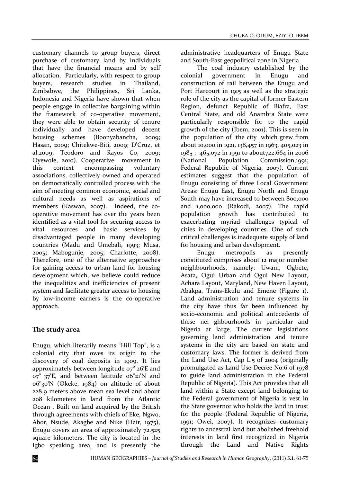customary channels to group buyers, direct purchase of customary land by individuals that have the financial means and by self allocation. Particularly, with respect to group buyers, research studies in Thailand, Zimbabwe, the Philippines, Sri Lanka, Indonesia and Nigeria have shown that when people engage in collective bargaining within the framework of co‐operative movement, they were able to obtain security of tenure individually and have developed decent housing schemes (Boonyabancha, 2009; Hasan, 2009; Chitekwe‐Biti, 2009; D'Cruz, et al.2009; Teodoro and Rayos Co, 2009; Oyewole, 2010). Cooperative movement in this context encompassing voluntary associations, collectively owned and operated on democratically controlled process with the aim of meeting common economic, social and cultural needs as well as aspirations of members (Kaswan, 2007). Indeed, the cooperative movement has over the years been identified as a vital tool for securing access to vital resources and basic services by disadvantaged people in many developing countries (Madu and Umebali, 1993; Musa, 2005; Mabogunje, 2005; Charlotte, 2008). Therefore, one of the alternative approaches for gaining access to urban land for housing development which, we believe could reduce the inequalities and inefficiencies of present system and facilitate greater access to housing by low-income earners is the co-operative approach.

# **The study area**

Enugu, which literarily means "Hill Top", is a colonial city that owes its origin to the discovery of coal deposits in 1909. It lies approximately between longitude  $o\tau^{\circ}$  26<sup>1</sup>E and  $\sigma$ <sup>o</sup>  $\sigma$ <sup>o</sup>  $\sigma$ <sup>2</sup>E, and between latitude  $\sigma$ <sup>o</sup> $\sigma$ <sup>21</sup>N and 06°30'N (Okeke, 1984) on altitude of about 228.9 meters above mean sea level and about 208 kilometers in land from the Atlantic Ocean . Built on land acquired by the British through agreements with chiefs of Eke, Ngwo, Abor, Nsude, Akagbe and Nike (Hair, 1975), Enugu covers an area of approximately 72.525 square kilometers. The city is located in the Igbo speaking area, and is presently the

administrative headquarters of Enugu State and South‐East geopolitical zone in Nigeria.

The coal industry established by the colonial government in Enugu and construction of rail between the Enugu and Port Harcourt in 1915 as well as the strategic role of the city as the capital of former Eastern Region, defunct Republic of Biafra, East Central State, and old Anambra State were particularly responsible for to the rapid growth of the city (Ibem, 2001). This is seen in the population of the city which grew from about 10,000 in 1921, 138,457 in 1963, 405,023 in 1985 ; 465,072 in 1991 to about722,664 in 2006 (National Population Commission,1991; Federal Republic of Nigeria, 2007). Current estimates suggest that the population of Enugu consisting of three Local Government Areas: Enugu East, Enugu North and Enugu South may have increased to between 800,000 and 1,000,000 (Rakodi, 2007). The rapid population growth has contributed to exacerbating myriad challenges typical of cities in developing countries. One of such critical challenges is inadequate supply of land for housing and urban development.

Enugu metropolis as presently constituted comprises about 12 major number neighbourhoods, namely: Uwani, Ogbete, Asata, Ogui Urban and Ogui New Layout, Achara Layout, Maryland, New Haven Layout, Abakpa, Trans‐Ekulu and Emene (Figure 1). Land administration and tenure systems in the city have thus far been influenced by socio‐economic and political antecedents of these nei ghbourhoods in particular and Nigeria at large. The current legislations governing land administration and tenure systems in the city are based on state and customary laws. The former is derived from the Land Use Act, Cap L.5 of 2004 (originally promulgated as Land Use Decree No.6 of 1978 to guide land administration in the Federal Republic of Nigeria). This Act provides that all land within a State except land belonging to the Federal government of Nigeria is vest in the State governor who holds the land in trust for the people (Federal Republic of Nigeria, 1991; Owei, 2007). It recognizes customary rights to ancestral land but abolished freehold interests in land first recognized in Nigeria through the Land and Native Rights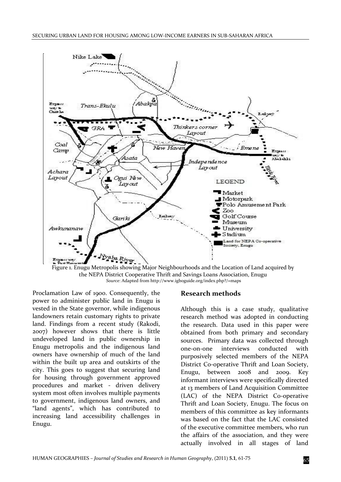



Proclamation Law of 1900. Consequently, the power to administer public land in Enugu is vested in the State governor, while indigenous landowners retain customary rights to private land. Findings from a recent study (Rakodi, 2007) however shows that there is little undeveloped land in public ownership in Enugu metropolis and the indigenous land owners have ownership of much of the land within the built up area and outskirts of the city. This goes to suggest that securing land for housing through government approved procedures and market - driven delivery system most often involves multiple payments to government, indigenous land owners, and "land agents", which has contributed to increasing land accessibility challenges in Enugu.

#### **Research methods**

Although this is a case study, qualitative research method was adopted in conducting the research. Data used in this paper were obtained from both primary and secondary sources. Primary data was collected through one‐on‐one interviews conducted with purposively selected members of the NEPA District Co‐operative Thrift and Loan Society, Enugu, between 2008 and 2009. Key informant interviews were specifically directed at 13 members of Land Acquisition Committee (LAC) of the NEPA District Co-operative Thrift and Loan Society, Enugu. The focus on members of this committee as key informants was based on the fact that the LAC consisted of the executive committee members, who run the affairs of the association, and they were actually involved in all stages of land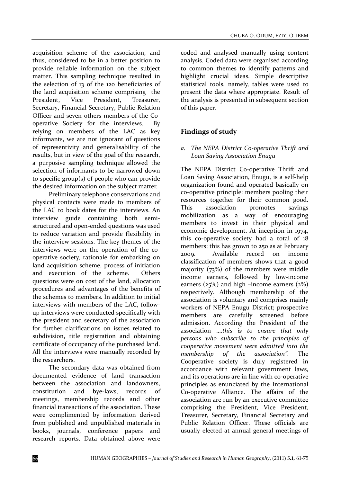acquisition scheme of the association, and thus, considered to be in a better position to provide reliable information on the subject matter. This sampling technique resulted in the selection of 13 of the 120 beneficiaries of the land acquisition scheme comprising the President, Vice President, Treasurer, Secretary, Financial Secretary, Public Relation Officer and seven others members of the Co‐ operative Society for the interviews. relying on members of the LAC as key informants, we are not ignorant of questions of representivity and generalisability of the results, but in view of the goal of the research, a purposive sampling technique allowed the selection of informants to be narrowed down to specific group(s) of people who can provide the desired information on the subject matter.

Preliminary telephone conservations and physical contacts were made to members of the LAC to book dates for the interviews. An interview guide containing both semi‐ structured and open‐ended questions was used to reduce variation and provide flexibility in the interview sessions. The key themes of the interviews were on the operation of the cooperative society, rationale for embarking on land acquisition scheme, process of initiation and execution of the scheme. Others questions were on cost of the land, allocation procedures and advantages of the benefits of the schemes to members. In addition to initial interviews with members of the LAC, follow‐ up interviews were conducted specifically with the president and secretary of the association for further clarifications on issues related to subdivision, title registration and obtaining certificate of occupancy of the purchased land. All the interviews were manually recorded by the researchers.

The secondary data was obtained from documented evidence of land transaction between the association and landowners, constitution and bye‐laws, records of meetings, membership records and other financial transactions of the association. These were complimented by information derived from published and unpublished materials in books, journals, conference papers and research reports. Data obtained above were

coded and analysed manually using content analysis. Coded data were organised according to common themes to identify patterns and highlight crucial ideas. Simple descriptive statistical tools, namely, tables were used to present the data where appropriate. Result of the analysis is presented in subsequent section of this paper.

# **Findings of study**

#### *a. The NEPA District Co‐operative Thrift and Loan Saving Association Enugu*

The NEPA District Co-operative Thrift and Loan Saving Association, Enugu, is a self‐help organization found and operated basically on co‐operative principle: members pooling their resources together for their common good. This association promotes savings mobilization as a way of encouraging members to invest in their physical and economic development. At inception in 1974, this co-operative society had a total of 18 members; this has grown to 250 as at February 2009. Available record on income classification of members shows that a good majority (73%) of the members were middle income earners, followed by low‐income earners ( $25\%$ ) and high –income earners ( $2\%$ ) respectively. Although membership of the association is voluntary and comprises mainly workers of NEPA Enugu District; prospective members are carefully screened before admission. According the President of the association ….*this is to ensure that only persons who subscribe to the principles of cooperative movement were admitted into the membership of the association"*. The Cooperative society is duly registered in accordance with relevant government laws, and its operations are in line with co-operative principles as enunciated by the International Co‐operative Alliance. The affairs of the association are run by an executive committee comprising the President, Vice President, Treasurer, Secretary, Financial Secretary and Public Relation Officer. These officials are usually elected at annual general meetings of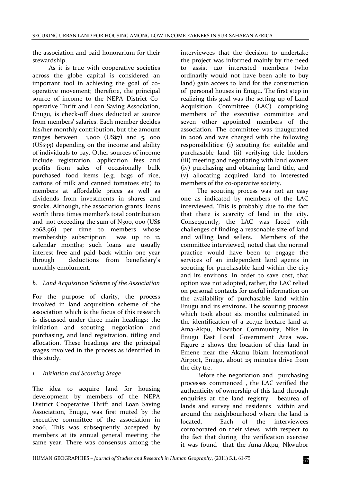the association and paid honorarium for their stewardship.

As it is true with cooperative societies across the globe capital is considered an important tool in achieving the goal of cooperative movement; therefore, the principal source of income to the NEPA District Cooperative Thrift and Loan Saving Association, Enugu, is check‐off dues deducted at source from members' salaries. Each member decides his/her monthly contribution, but the amount ranges between  $1,000$  (US\$7) and  $5,000$ (US\$35) depending on the income and ability of individuals to pay. Other sources of income include registration, application fees and profits from sales of occasionally bulk purchased food items (e.g. bags of rice, cartons of milk and canned tomatoes etc) to members at affordable prices as well as dividends from investments in shares and stocks. Although, the association grants loans worth three times member's total contribution and not exceeding the sum of N300, 000 (US\$ 2068.96) per time to members whose membership subscription was up to 12 calendar months; such loans are usually interest free and paid back within one year through deductions from beneficiary's monthly emolument.

# *b. Land Acquisition Scheme of the Association*

For the purpose of clarity, the process involved in land acquisition scheme of the association which is the focus of this research is discussed under three main headings: the initiation and scouting, negotiation and purchasing, and land registration, titling and allocation. These headings are the principal stages involved in the process as identified in this study.

# *1. Initiation and Scouting Stage*

The idea to acquire land for housing development by members of the NEPA District Cooperative Thrift and Loan Saving Association, Enugu, was first muted by the executive committee of the association in 2006. This was subsequently accepted by members at its annual general meeting the same year. There was consensus among the interviewees that the decision to undertake the project was informed mainly by the need to assist 120 interested members (who ordinarily would not have been able to buy land) gain access to land for the construction of personal houses in Enugu. The first step in realizing this goal was the setting up of Land Acquisition Committee (LAC) comprising members of the executive committee and seven other appointed members of the association. The committee was inaugurated in 2006 and was charged with the following responsibilities: (i) scouting for suitable and purchasable land (ii) verifying title holders (iii) meeting and negotiating with land owners (iv) purchasing and obtaining land title, and (v) allocating acquired land to interested members of the co-operative society.

The scouting process was not an easy one as indicated by members of the LAC interviewed. This is probably due to the fact that there is scarcity of land in the city. Consequently, the LAC was faced with challenges of finding a reasonable size of land and willing land sellers. Members of the committee interviewed, noted that the normal practice would have been to engage the services of an independent land agents in scouting for purchasable land within the city and its environs. In order to save cost, that option was not adopted, rather, the LAC relied on personal contacts for useful information on the availability of purchasable land within Enugu and its environs. The scouting process which took about six months culminated in the identification of a 20.712 hectare land at Ama‐Akpu, Nkwubor Community, Nike in Enugu East Local Government Area was. Figure 2 shows the location of this land in Emene near the Akanu Ibiam International Airport, Enugu, about 25 minutes drive from the city tre.

Before the negotiation and purchasing processes commenced , the LAC verified the authenticity of ownership of this land through enquiries at the land registry, beaurea of lands and survey and residents within and around the neighbourhood where the land is located. Each of the interviewees corroborated on their views with respect to the fact that during the verification exercise it was found that the Ama-Akpu, Nkwubor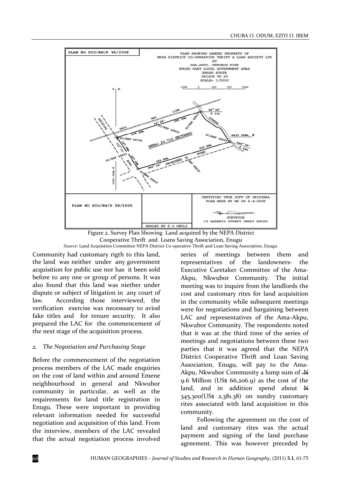



Community had customary rigth to this land, the land was neither under any government acquisition for public use nor has it been sold before to any one or group of persons. It was also found that this land was niether under dispute or subject of litigation in any court of law. According those interviewed, the verification exercise was necesssary to aviod fake titles and for tenure security. It also prepared the LAC for the commencement of the next stage of the acquisition process.

#### *2. The Negotiation and Purchasing Stage*

Before the commencement of the negotiation process members of the LAC made enquiries on the cost of land within and around Emene neighbourhood in general and Nkwubor community in particular, as well as the requirements for land title registration in Enugu. These were important in providing relevant information needed for successful negotiation and acquisition of this land. From the interview, members of the LAC revealed that the actual negotiation process involved

series of meetings between them and representatives of the landowners‐ the Executive Caretaker Committee of the Ama‐ Akpu, Nkwubor Community. The initial meeting was to inquire from the landlords the cost and customary rites for land acquisition in the community while subsequent meetings were for negotiations and bargaining between LAC and representatives of the Ama-Akpu, Nkwubor Community. The respondents noted that it was at the third time of the series of meetings and negotiations between these two parties that it was agreed that the NEPA District Cooperative Thrift and Loan Saving Association, Enugu, will pay to the Ama-Akpu, Nkwubor Community a lump sum of  $\overline{M}$ 9.6 Million (US\$  $66,206.9$ ) as the cost of the land, and in addition spend about  $N$ 345,300(US\$ 2,381.38) on sundry customary rites associated with land acquisition in this community.

Following the agreement on the cost of land and customary rites was the actual payment and signing of the land purchase agreement. This was however preceded by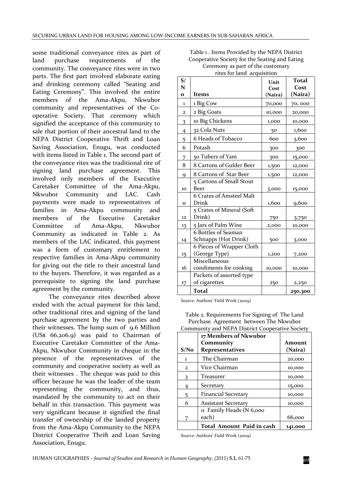some traditional conveyance rites as part of land purchase requirements of the community. The conveyance rites were in two parts. The first part involved elaborate eating and drinking ceremony called "Seating and Eating Ceremony". This involved the entire members of the Ama‐Akpu, Nkwubor community and representatives of the Cooperative Society. That ceremony which signified the acceptance of this community to sale that portion of their ancestral land to the NEPA District Cooperative Thrift and Loan Saving Association, Enugu, was conducted with items listed in Table 1. The second part of the conveyance rites was the traditional rite of signing land purchase agreement. This involved only members of the Executive Caretaker Committee of the Ama‐Akpu, Nkwubor Community and LAC. Cash payments were made to representatives of families in Ama-Akpu community and<br>members of the Executive Caretaker members of the Executive Caretaker Committee of Ama‐Akpu, Nkwubor Community as indicated in Table 2. As members of the LAC indicated, this payment was a form of customary entitlement to respective families in Ama‐Akpu community for giving out the title to their ancestral land to the buyers. Therefore, it was regarded as a prerequisite to signing the land purchase agreement by the community.

The conveyance rites described above ended with the actual payment for this land, other traditional rites and signing of the land purchase agreement by the two parties and their witnesses. The lump sum of 9.6 Million (US\$ 66,206.9) was paid to Chairman of Executive Caretaker Committee of the Ama‐ Akpu, Nkwubor Community in cheque in the presence of the representatives of the community and cooperative society as well as their witnesses . The cheque was paid to this officer because he was the leader of the team representing the community, and thus, mandated by the community to act on their behalf in this transaction. This payment was very significant because it signified the final transfer of ownership of the landed property from the Ama‐Akpu Community to the NEPA District Cooperative Thrift and Loan Saving Association, Enugu.

| Table 1. Items Provided by the NEPA District   |
|------------------------------------------------|
| Cooperative Society for the Seating and Eating |
| Ceremony as part of the customary              |
| rites for land acquisition                     |

| S/             |                           | Unit    | <b>Total</b> |
|----------------|---------------------------|---------|--------------|
| N              |                           | Cost    | Cost         |
| $\mathbf{o}$   | <b>Items</b>              | (Naira) | (Naira)      |
| 1              | 1 Big Cow                 | 70,000  | 70,000       |
| 2              | 2 Big Goats               | 10,000  | 20,000       |
| 3              | 10 Big Chickens           | 1,000   | 10,000       |
| $\overline{4}$ | 32 Cola Nuts              | 50      | 1,600        |
| 5              | 6 Heads of Tobacco        | 600     | 3,600        |
| 6              | Potash                    | 300     | 300          |
| 7              | 50 Tubers of Yam          | 300     | 15,000       |
| 8              | 8 Cartons of Gulder Beer  | 1,500   | 12,000       |
| 9              | 8 Cartons of Star Beer    | 1,500   | 12,000       |
|                | 5 Cartons of Small Stout  |         |              |
| 10             | Beer                      | 3,000   | 15,000       |
|                | 6 Crates of Amsteel Malt  |         |              |
| $\mathbf{11}$  | Drink                     | 1,600   | 9,600        |
|                | 5 Crates of Mineral (Soft |         |              |
| 12             | Drink)                    | 750     | 3,750        |
| 13             | 5 Jars of Palm Wine       | 2,000   | 10,000       |
|                | 6 Bottles of Seaman       |         |              |
| 14             | Schnapps (Hot Drink)      | 500     | 3,000        |
|                | 6 Pieces of Wrapper Cloth |         |              |
| $15 \,$        | (George Type)             | 1,200   | 7,200        |
|                | Miscellaneous             |         |              |
| 16             | condiments for cooking    | 10,000  | 10,000       |
|                | Packets of assorted type  |         |              |
| 17             | of cigarettes             | 250     | 2,250        |
|                | Total                     |         | 250,300      |

*Source*: Authors' Field Work (2009)

|                | 17 Members of Nkwubor      |         |
|----------------|----------------------------|---------|
|                | Community                  | Amount  |
| S/No           | <b>Representatives</b>     | (Naira) |
| L              | The Chairman               | 20,000  |
| $\overline{2}$ | Vice Chairman              | 10,000  |
| 3              | Treasurer                  | 10,000  |
| 4              | Secretary                  | 15,000  |
| 5              | Financial Secretary        | 10,000  |
| 6              | <b>Assistant Secretary</b> | 10,000  |
|                | 11 Family Heads (N 6,000   |         |
|                | each)                      | 66,000  |
|                | Total Amount Paid in cash  | 141,000 |

Table 2. Requirements For Signing of The Land Purchase Agreement between The Nkwubor Community and NEPA District Cooperative Society

*Source*: Authors' Field Work (2009)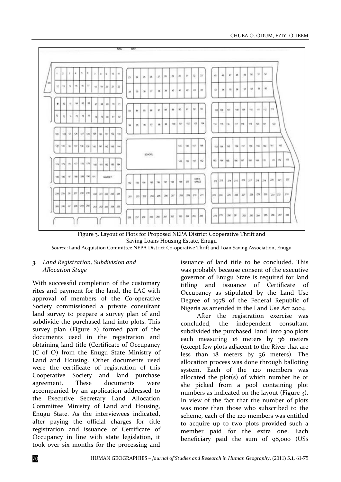

Figure 3. Layout of Plots for Proposed NEPA District Cooperative Thrift and Saving Loans Housing Estate, Enugu

*Source*: Land Acquistion Committee NEPA District Co‐operative Thrift and Loan Saving Association, Enugu

#### *3. Land Registration, Subdivision and Allocation Stage*

With successful completion of the customary rites and payment for the land, the LAC with approval of members of the Co‐operative Society commissioned a private consultant land survey to prepare a survey plan of and subdivide the purchased land into plots. This survey plan (Figure 2) formed part of the documents used in the registration and obtaining land title (Certificate of Occupancy (C of O) from the Enugu State Ministry of Land and Housing. Other documents used were the certificate of registration of this Cooperative Society and land purchase agreement. These documents were accompanied by an application addressed to the Executive Secretary Land Allocation Committee Ministry of Land and Housing, Enugu State. As the interviewees indicated, after paying the official charges for title registration and issuance of Certificate of Occupancy in line with state legislation, it took over six months for the processing and

issuance of land title to be concluded. This was probably because consent of the executive governor of Enugu State is required for land titling and issuance of Certificate of Occupancy as stipulated by the Land Use Degree of 1978 of the Federal Republic of Nigeria as amended in the Land Use Act 2004.

After the registration exercise was concluded, the independent consultant subdivided the purchased land into 300 plots each measuring 18 meters by 36 meters (except few plots adjacent to the River that are less than 18 meters by 36 meters). The allocation process was done through balloting system. Each of the 120 members was allocated the plot(s) of which number he or she picked from a pool containing plot numbers as indicated on the layout (Figure 3). In view of the fact that the number of plots was more than those who subscribed to the scheme, each of the 120 members was entitled to acquire up to two plots provided such a member paid for the extra one. Each beneficiary paid the sum of 98,000 (US\$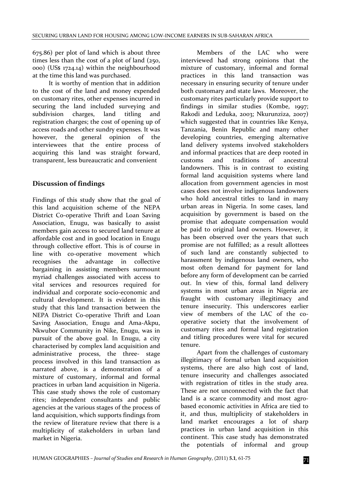675.86) per plot of land which is about three times less than the cost of a plot of land (250, 000) (US\$ 1724.14) within the neighbourhood at the time this land was purchased.

It is worthy of mention that in addition to the cost of the land and money expended on customary rites, other expenses incurred in securing the land included surveying and subdivision charges, land titling and registration charges; the cost of opening up of access roads and other sundry expenses. It was however, the general opinion of the interviewees that the entire process of acquiring this land was straight forward, transparent, less bureaucratic and convenient

# **Discussion of findings**

Findings of this study show that the goal of this land acquisition scheme of the NEPA District Co-operative Thrift and Loan Saving Association, Enugu, was basically to assist members gain access to secured land tenure at affordable cost and in good location in Enugu through collective effort. This is of course in line with co-operative movement which recognises the advantage in collective bargaining in assisting members surmount myriad challenges associated with access to vital services and resources required for individual and corporate socio‐economic and cultural development. It is evident in this study that this land transaction between the NEPA District Co‐operative Thrift and Loan Saving Association, Enugu and Ama‐Akpu, Nkwubor Community in Nike, Enugu, was in pursuit of the above goal. In Enugu, a city characterised by complex land acquisition and administrative process, the three- stage process involved in this land transaction as narrated above, is a demonstration of a mixture of customary, informal and formal practices in urban land acquisition in Nigeria. This case study shows the role of customary rites; independent consultants and public agencies at the various stages of the process of land acquisition, which supports findings from the review of literature review that there is a multiplicity of stakeholders in urban land market in Nigeria.

Members of the LAC who were interviewed had strong opinions that the mixture of customary, informal and formal practices in this land transaction was necessary in ensuring security of tenure under both customary and state laws. Moreover, the customary rites particularly provide support to findings in similar studies (Kombe, 1997; Rakodi and Leduka, 2003; Nkurunziza, 2007) which suggested that in countries like Kenya, Tanzania, Benin Republic and many other developing countries, emerging alternative land delivery systems involved stakeholders and informal practices that are deep rooted in customs and traditions of ancestral landowners. This is in contrast to existing formal land acquisition systems where land allocation from government agencies in most cases does not involve indigenous landowners who hold ancestral titles to land in many urban areas in Nigeria. In some cases, land acquisition by government is based on the promise that adequate compensation would be paid to original land owners. However, it has been observed over the years that such promise are not fulfilled; as a result allottees of such land are constantly subjected to harassment by indigenous land owners, who most often demand for payment for land before any form of development can be carried out. In view of this, formal land delivery systems in most urban areas in Nigeria are fraught with customary illegitimacy and tenure insecurity. This underscores earlier view of members of the LAC of the cooperative society that the involvement of customary rites and formal land registration and titling procedures were vital for secured tenure.

Apart from the challenges of customary illegitimacy of formal urban land acquisition systems, there are also high cost of land, tenure insecurity and challenges associated with registration of titles in the study area. These are not unconnected with the fact that land is a scarce commodity and most agrobased economic activities in Africa are tied to it, and thus, multiplicity of stakeholders in land market encourages a lot of sharp practices in urban land acquisition in this continent. This case study has demonstrated the potentials of informal and group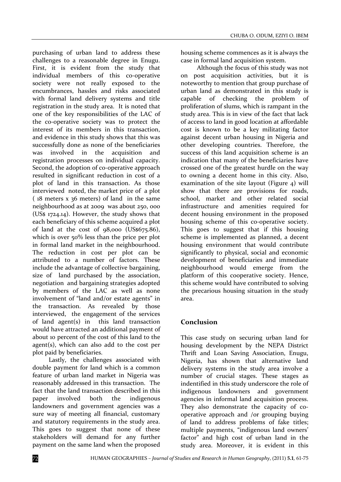purchasing of urban land to address these challenges to a reasonable degree in Enugu. First, it is evident from the study that individual members of this co-operative society were not really exposed to the encumbrances, hassles and risks associated with formal land delivery systems and title registration in the study area. It is noted that one of the key responsibilities of the LAC of the co-operative society was to protect the interest of its members in this transaction, and evidence in this study shows that this was successfully done as none of the beneficiaries was involved in the acquisition and registration processes on individual capacity. Second, the adoption of co-operative approach resulted in significant reduction in cost of a plot of land in this transaction. As those interviewed noted, the market price of a plot ( 18 meters x 36 meters) of land in the same neighbourhood as at 2009 was about 250, 000 (US\$ 1724.14). However, the study shows that each beneficiary of this scheme acquired a plot of land at the cost of 98,000 (US\$675.86), which is over 50% less than the price per plot in formal land market in the neighbourhood. The reduction in cost per plot can be attributed to a number of factors. These include the advantage of collective bargaining, size of land purchased by the association, negotiation and bargaining strategies adopted by members of the LAC as well as none involvement of "land and/or estate agents" in the transaction. As revealed by those interviewed, the engagement of the services of land agent $(s)$  in this land transaction would have attracted an additional payment of about 10 percent of the cost of this land to the agent(s), which can also add to the cost per plot paid by beneficiaries.

Lastly, the challenges associated with double payment for land which is a common feature of urban land market in Nigeria was reasonably addressed in this transaction. The fact that the land transaction described in this paper involved both the indigenous landowners and government agencies was a sure way of meeting all financial, customary and statutory requirements in the study area. This goes to suggest that none of these stakeholders will demand for any further payment on the same land when the proposed

housing scheme commences as it is always the case in formal land acquisition system.

Although the focus of this study was not on post acquisition activities, but it is noteworthy to mention that group purchase of urban land as demonstrated in this study is capable of checking the problem of proliferation of slums, which is rampant in the study area. This is in view of the fact that lack of access to land in good location at affordable cost is known to be a key militating factor against decent urban housing in Nigeria and other developing countries. Therefore, the success of this land acquisition scheme is an indication that many of the beneficiaries have crossed one of the greatest hurdle on the way to owning a decent home in this city. Also, examination of the site layout (Figure 4) will show that there are provisions for roads, school, market and other related social infrastructure and amenities required for decent housing environment in the proposed housing scheme of this co-operative society. This goes to suggest that if this housing scheme is implemented as planned, a decent housing environment that would contribute significantly to physical, social and economic development of beneficiaries and immediate neighbourhood would emerge from the platform of this cooperative society. Hence, this scheme would have contributed to solving the precarious housing situation in the study area.

# **Conclusion**

This case study on securing urban land for housing development by the NEPA District Thrift and Loan Saving Association, Enugu, Nigeria, has shown that alternative land delivery systems in the study area involve a number of crucial stages. These stages as indentified in this study underscore the role of indigenous landowners and government agencies in informal land acquisition process. They also demonstrate the capacity of cooperative approach and /or grouping buying of land to address problems of fake titles; multiple payments, "indigenous land owners' factor" and high cost of urban land in the study area. Moreover, it is evident in this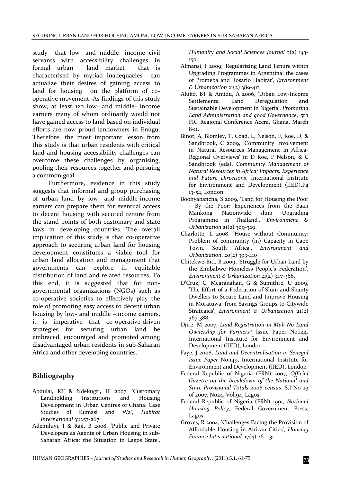study that low- and middle- income civil servants with accessibility challenges in formal urban land market that is characterised by myriad inadequacies can actualize their desires of gaining access to land for housing on the platform of cooperative movement. As findings of this study show, at least 120 low‐ and middle‐ income earners many of whom ordinarily would not have gained access to land based on individual efforts are now proud landowners in Enugu. Therefore, the most important lesson from this study is that urban residents with critical land and housing accessibility challenges can overcome these challenges by organising, pooling their resources together and pursuing a common goal.

Furthermore, evidence in this study suggests that informal and group purchasing of urban land by low‐ and middle‐income earners can prepare them for eventual access to decent housing with secured tenure from the stand points of both customary and state laws in developing countries. The overall implication of this study is that co-operative approach to securing urban land for housing development constitutes a viable tool for urban land allocation and management that governments can explore in equitable distribution of land and related resources. To this end, it is suggested that for non‐ governmental organizations (NGOs) such as co‐operative societies to effectively play the role of promoting easy access to decent urban housing by low‐ and middle –income earners, it is imperative that co-operative-driven strategies for securing urban land be embraced, encouraged and promoted among disadvantaged urban residents in sub‐Saharan Africa and other developing countries.

# **Bibliography**

- Abdulai, RT & Ndekugri, IE 2007, 'Customary Landholding Institutions and Housing Development in Urban Centres of Ghana: Case Studies of Kumasi and Wa', *Habitat International* 31:257‐267
- Ademiluyi, I & Raji, B 2008, 'Public and Private Developers as Agents of Urban Housing in sub‐ Saharan Africa: the Situation in Lagos State',

*Humanity and Social Sciences Journal* 3(2) 143‐ 150

- Almansi, F 2009, 'Regularizing Land Tenure within Upgrading Programmes in Argentina: the cases of Promeba and Rosario Habitat', *Environment & Urbanization* 21(2) 389‐413
- Aluko, BT & Amidu, A 2006, 'Urban Low‐Income Settlements, Land Deregulation and Sustainable Development in Nigeria', *Promoting Land Administration and good Governance*, 5th FIG Regional Conference Accra, Ghana, March 8‐11.
- Binot, A, Blomley, T, Coad, L, Nelson, F, Roe, D, & Sandbrook, C 2009, 'Community Involvement in Natural Resources Management in Africa-Regional Overviews' in D Roe, F Nelson, & C Sandbrook (eds), *Community Management of Natural Resources in Africa: Impacts, Experience and Future Directions*, International Institute for Environment and Development (IIED).Pg 13‐54, London
- Boonyabancha, S 2009, 'Land for Housing the Poor ‐ By the Poor: Experiences from the Baan Mankong Nationwide slum Upgrading Programme in Thailand', *Environment & Urbanization* 21(2) 309‐329.
- Charlotte, L 2008, 'House without Community: Problem of community (in) Capacity in Cape Town, South Africa', *Environment and Urbanization*, 20(2) 393‐410
- Chitekwe‐Biti, B 2009, 'Struggle for Urban Land by the Zimbabwe Homeless People's Federation', *Environment & Urbanization* 21(2) 347‐366.
- D'Cruz, C, Mcgranahan, G & Sumithre, U 2009, 'The Effort of a Federation of Slum and Shanty Dwellers to Secure Land and Improve Housing in Moratuwa: from Savings Groups to Citywide Strategies', *Environment & Urbanization* 21(2) 367‐388
- Djire, M 2007, *Land Registration in Mali‐No Land Ownership for Farmers*? Issue Paper No.144, International Institute for Environment and Development (IIED), London
- Faye, J 2008, *Land and Decentralisation in Senegal Issue Paper* No.149, International Institute for Environment and Development (IIED), London
- Federal Republic of Nigeria (FRN) 2007, *Official Gazette on the breakdown of the National and State Provisional Totals 2006 census*, S.I N0 23 of 2007, N024, Vol.94, Lagos
- Federal Republic of Nigeria (FRN) 1991, *National Housing Policy*, Federal Government Press, Lagos
- Groves, R 2004, 'Challenges Facing the Provision of Affordable Housing in African Cities', *Housing Finance International,* 17(4) 26 – 31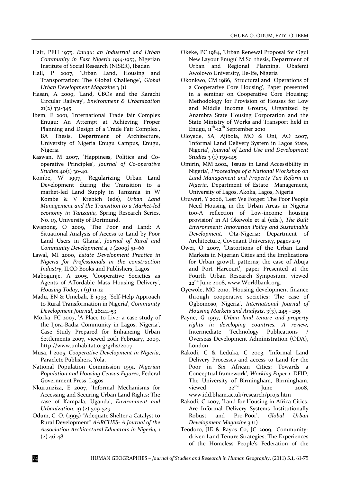- Hair, PEH 1975, *Enugu: an Industrial and Urban Community in East Nigeria 1914‐1953*, Nigerian Institute of Social Research (NISER), Ibadan
- Hall, P 2007, 'Urban Land, Housing and Transportation: The Global Challenge', *Global Urban Development Magazine* 3 (1)
- Hasan, A 2009, 'Land, CBOs and the Karachi Circular Railway', *Environment & Urbanization* 21(2) 331‐345
- Ibem, E 2001, 'International Trade fair Complex Enugu: An Attempt at Achieving Proper Planning and Design of a Trade Fair Complex', BA Thesis, Department of Architecture, University of Nigeria Enugu Campus, Enugu, Nigeria
- Kaswan, M 2007, 'Happiness, Politics and Co‐ operative Principles', *Journal of Co‐operative Studies*.40(1) 30‐40.
- Kombe, W 1997, 'Regularizing Urban Land Development during the Transition to a market‐led Land Supply in Tanzania' in W Kombe & V Krebich (eds), *Urban Land Management and the Transition to a Market‐led economy in Tanzania,* Spring Research Series, No. 19, University of Dortmund.
- Kwapong, O 2009, **'**The Poor and Land: A Situational Analysis of Access to Land by Poor Land Users in Ghana', *Journal of Rural and Community Development 4, 1 (2009) 51–66*
- Lawal, MI 2000, *Estate Development Practice in Nigeria for Professionals in the construction Industry*, ILCO Books and Publishers, Lagos
- Mabogunje, A 2005, 'Cooperative Societies as Agents of Affordable Mass Housing Delivery', *Housing Today*, 1 (9) 11-12
- Madu, EN & Umebali, E 1993, **'**Self‐Help Approach to Rural Transformation in Nigeria', *Community Development Journal*, 28:141‐53
- Morka, FC 2007, 'A Place to Live: a case study of the Ijora‐Badia Community in Lagos, Nigeria', Case Study Prepared for Enhancing Urban Settlements 2007, viewed 20th February, 2009, http://www.unhabitat.org/grhs/2007.
- Musa, I 2005, *Cooperative Development in Nigeria*, Paraclete Publishers, Yola.
- National Population Commission 1991, *Nigerian Population and Housing Census Figures*, Federal Government Press, Lagos
- Nkurunziza, E 2007, 'Informal Mechanisms for Accessing and Securing Urban Land Rights: The case of Kampala, Uganda', *Environment and Urbanization*, 19 (2) 509‐529
- Odum, C. O. (1995) "Adequate Shelter a Catalyst to Rural Development" *AARCHES‐ A Journal of the Association Architectural Educators in Nigeria,* 1  $(2)$  46-48
- Okeke, PC 1984, 'Urban Renewal Proposal for Ogui New Layout Enugu' M.Sc. thesis, Department of Urban and Regional Planning, Obafemi Awolowo University, Ile‐Ife, Nigeria
- Okonkwo, CM 1986, 'Structural and Operations of a Cooperative Core Housing', Paper presented in a seminar on Cooperative Core Housing: Methodology for Provision of Houses for Low and Middle income Groups, Organized by Anambra State Housing Corporation and the State Ministry of Works and Transport held in Enugu,  $11^{th}$ -12<sup>th</sup> September 2010
- Oloyede, SA, Ajibola, MO & Oni, AO 2007, 'Informal Land Delivery System in Lagos State, Nigeria', *Journal of Land Use and Development Studies* 3 (1) 139‐145
- Omirin, MM 2002, 'Issues in Land Accessibility in Nigeria', *Proceedings of a National Workshop on Land Management and Property Tax Reform in Nigeria*, Department of Estate Management, University of Lagos, Akoka, Lagos, Nigeria
- Oruwari, Y 2006, 'Lest We Forget: The Poor People Need Housing in the Urban Areas in Nigeria too‐A reflection of Low‐income housing provision' in AI Okewole et al (eds.), *The Built Environment: Innovation Policy and Sustainable Development,* Ota‐Nigeria: Department of Architecture, Covenant University, pages 2‐9
- Owei, O 2007, 'Distortions of the Urban Land Markets in Nigerian Cities and the Implications for Urban growth patterns; the case of Abuja and Port Harcourt', paper Presented at the Fourth Urban Research Symposium, viewed 22<sup>nd</sup> June 2008, www.Worldbank.org.
- Oyewole, MO 2010, 'Housing development finance through cooperative societies: The case of Ogbomoso, Nigeria', *International Journal of Housing Markets and Analysis*, 3(3),.245 ‐ 255
- Payne, G 1997, *Urban land tenure and property rights in developing countries. A review,* Intermediate Technology Publications Overseas Development Administration (ODA), London
- Rakodi, C & Leduka, C 2003, 'Informal Land Delivery Processes and access to Land for the Poor in Six African Cities: Towards a Conceptual framework', *Working Paper 1*, DFID, The University of Birmingham, Birmingham, viewed  $22^{nd}$  Iune  $2008$ viewed  $\mu$ ne  $2008$ , www.idd.bham.ac.uk/research/projs.htm
- Rakodi, C 2007, 'Land for Housing in Africa Cities: Are Informal Delivery Systems Institutionally Robust and Pro‐Poor', *Global Urban Development Magazine* 3 (1)
- Teodoro, JIE & Rayos Co, JC 2009, 'Community‐ driven Land Tenure Strategies: The Experiences of the Homeless People's Federation of the